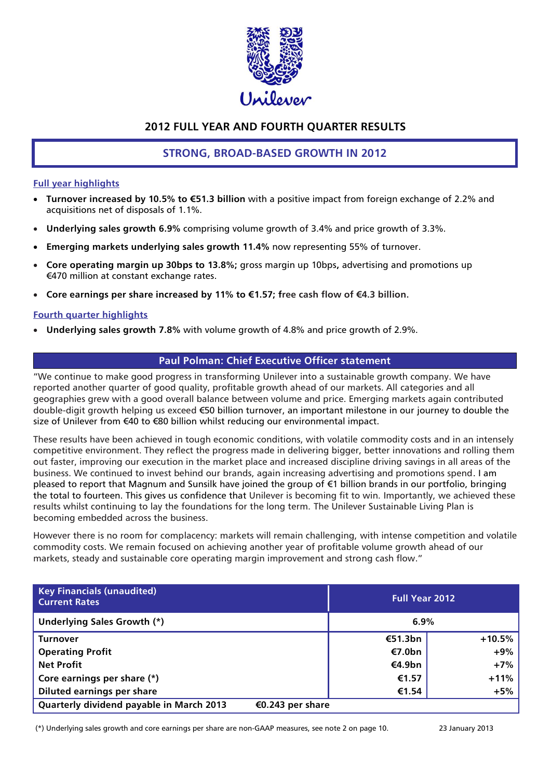

# **2012 FULL YEAR AND FOURTH QUARTER RESULTS**

## **STRONG, BROAD-BASED GROWTH IN 2012**

#### **Full year highlights**

- **Turnover increased by 10.5% to €51.3 billion** with a positive impact from foreign exchange of 2.2% and acquisitions net of disposals of 1.1%.
- **Underlying sales growth 6.9%** comprising volume growth of 3.4% and price growth of 3.3%.
- **Emerging markets underlying sales growth 11.4%** now representing 55% of turnover.
- **Core operating margin up 30bps to 13.8%;** gross margin up 10bps**,** advertising and promotions up €470 million at constant exchange rates.
- **Core earnings per share increased by 11% to €1.57; free cash flow of €4.3 billion.**

#### **Fourth quarter highlights**

**Underlying sales growth 7.8%** with volume growth of 4.8% and price growth of 2.9%.

## **Paul Polman: Chief Executive Officer statement**

"We continue to make good progress in transforming Unilever into a sustainable growth company. We have reported another quarter of good quality, profitable growth ahead of our markets. All categories and all geographies grew with a good overall balance between volume and price. Emerging markets again contributed double-digit growth helping us exceed €50 billion turnover, an important milestone in our journey to double the size of Unilever from €40 to €80 billion whilst reducing our environmental impact.

These results have been achieved in tough economic conditions, with volatile commodity costs and in an intensely competitive environment. They reflect the progress made in delivering bigger, better innovations and rolling them out faster, improving our execution in the market place and increased discipline driving savings in all areas of the business. We continued to invest behind our brands, again increasing advertising and promotions spend. I am pleased to report that Magnum and Sunsilk have joined the group of €1 billion brands in our portfolio, bringing the total to fourteen. This gives us confidence that Unilever is becoming fit to win. Importantly, we achieved these results whilst continuing to lay the foundations for the long term. The Unilever Sustainable Living Plan is becoming embedded across the business.

However there is no room for complacency: markets will remain challenging, with intense competition and volatile commodity costs. We remain focused on achieving another year of profitable volume growth ahead of our markets, steady and sustainable core operating margin improvement and strong cash flow."

| <b>Key Financials (unaudited)</b><br><b>Current Rates</b>    | <b>Full Year 2012</b> |          |  |
|--------------------------------------------------------------|-----------------------|----------|--|
| Underlying Sales Growth (*)                                  | 6.9%                  |          |  |
| <b>Turnover</b>                                              | €51.3bn               | $+10.5%$ |  |
| <b>Operating Profit</b>                                      | €7.0bn                | $+9%$    |  |
| <b>Net Profit</b>                                            | €4.9bn                | $+7%$    |  |
| Core earnings per share (*)                                  | €1.57                 | $+11%$   |  |
| <b>Diluted earnings per share</b>                            | €1.54                 | +5%      |  |
| Quarterly dividend payable in March 2013<br>€0.243 per share |                       |          |  |

(\*) Underlying sales growth and core earnings per share are non-GAAP measures, see note 2 on page 10. 23 January 2013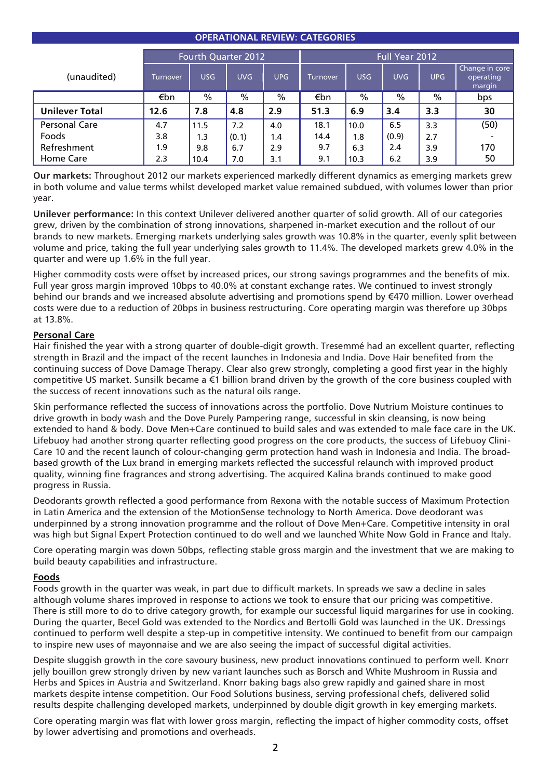|                       | Fourth Quarter 2012 |            |            | Full Year 2012 |          |            |            |            |                                       |
|-----------------------|---------------------|------------|------------|----------------|----------|------------|------------|------------|---------------------------------------|
| (unaudited)           | Turnover            | <b>USG</b> | <b>UVG</b> | <b>UPG</b>     | Turnover | <b>USG</b> | <b>UVG</b> | <b>UPG</b> | Change in core<br>operating<br>margin |
|                       | €bn                 | %          | $\%$       | %              | €bn      | $\%$       | %          | $\%$       | bps                                   |
| <b>Unilever Total</b> | 12.6                | 7.8        | 4.8        | 2.9            | 51.3     | 6.9        | 3.4        | 3.3        | 30                                    |
| Personal Care         | 4.7                 | 11.5       | 7.2        | 4.0            | 18.1     | 10.0       | 6.5        | 3.3        | (50)                                  |
| <b>Foods</b>          | 3.8                 | 1.3        | (0.1)      | 1.4            | 14.4     | 1.8        | (0.9)      | 2.7        |                                       |
| Refreshment           | 1.9                 | 9.8        | 6.7        | 2.9            | 9.7      | 6.3        | 2.4        | 3.9        | 170                                   |
| Home Care             | 2.3                 | 10.4       | 7.0        | 3.1            | 9.1      | 10.3       | 6.2        | 3.9        | 50                                    |

### **OPERATIONAL REVIEW: CATEGORIES**

**Our markets:** Throughout 2012 our markets experienced markedly different dynamics as emerging markets grew in both volume and value terms whilst developed market value remained subdued, with volumes lower than prior year.

**Unilever performance:** In this context Unilever delivered another quarter of solid growth. All of our categories grew, driven by the combination of strong innovations, sharpened in-market execution and the rollout of our brands to new markets. Emerging markets underlying sales growth was 10.8% in the quarter, evenly split between volume and price, taking the full year underlying sales growth to 11.4%. The developed markets grew 4.0% in the quarter and were up 1.6% in the full year.

Higher commodity costs were offset by increased prices, our strong savings programmes and the benefits of mix. Full year gross margin improved 10bps to 40.0% at constant exchange rates. We continued to invest strongly behind our brands and we increased absolute advertising and promotions spend by €470 million. Lower overhead costs were due to a reduction of 20bps in business restructuring. Core operating margin was therefore up 30bps at 13.8%.

## **Personal Care**

Hair finished the year with a strong quarter of double-digit growth. Tresemmé had an excellent quarter, reflecting strength in Brazil and the impact of the recent launches in Indonesia and India. Dove Hair benefited from the continuing success of Dove Damage Therapy. Clear also grew strongly, completing a good first year in the highly competitive US market. Sunsilk became a €1 billion brand driven by the growth of the core business coupled with the success of recent innovations such as the natural oils range.

Skin performance reflected the success of innovations across the portfolio. Dove Nutrium Moisture continues to drive growth in body wash and the Dove Purely Pampering range, successful in skin cleansing, is now being extended to hand & body. Dove Men+Care continued to build sales and was extended to male face care in the UK. Lifebuoy had another strong quarter reflecting good progress on the core products, the success of Lifebuoy Clini-Care 10 and the recent launch of colour-changing germ protection hand wash in Indonesia and India. The broadbased growth of the Lux brand in emerging markets reflected the successful relaunch with improved product quality, winning fine fragrances and strong advertising. The acquired Kalina brands continued to make good progress in Russia.

Deodorants growth reflected a good performance from Rexona with the notable success of Maximum Protection in Latin America and the extension of the MotionSense technology to North America. Dove deodorant was underpinned by a strong innovation programme and the rollout of Dove Men+Care. Competitive intensity in oral was high but Signal Expert Protection continued to do well and we launched White Now Gold in France and Italy.

Core operating margin was down 50bps, reflecting stable gross margin and the investment that we are making to build beauty capabilities and infrastructure.

## **Foods**

Foods growth in the quarter was weak, in part due to difficult markets. In spreads we saw a decline in sales although volume shares improved in response to actions we took to ensure that our pricing was competitive. There is still more to do to drive category growth, for example our successful liquid margarines for use in cooking. During the quarter, Becel Gold was extended to the Nordics and Bertolli Gold was launched in the UK. Dressings continued to perform well despite a step-up in competitive intensity. We continued to benefit from our campaign to inspire new uses of mayonnaise and we are also seeing the impact of successful digital activities.

Despite sluggish growth in the core savoury business, new product innovations continued to perform well. Knorr jelly bouillon grew strongly driven by new variant launches such as Borsch and White Mushroom in Russia and Herbs and Spices in Austria and Switzerland. Knorr baking bags also grew rapidly and gained share in most markets despite intense competition. Our Food Solutions business, serving professional chefs, delivered solid results despite challenging developed markets, underpinned by double digit growth in key emerging markets.

Core operating margin was flat with lower gross margin, reflecting the impact of higher commodity costs, offset by lower advertising and promotions and overheads.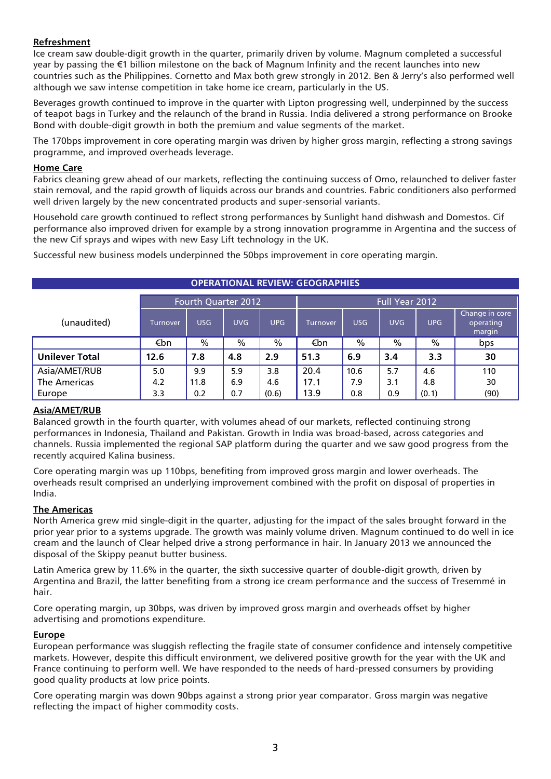## **Refreshment**

Ice cream saw double-digit growth in the quarter, primarily driven by volume. Magnum completed a successful year by passing the €1 billion milestone on the back of Magnum Infinity and the recent launches into new countries such as the Philippines. Cornetto and Max both grew strongly in 2012. Ben & Jerry"s also performed well although we saw intense competition in take home ice cream, particularly in the US.

Beverages growth continued to improve in the quarter with Lipton progressing well, underpinned by the success of teapot bags in Turkey and the relaunch of the brand in Russia. India delivered a strong performance on Brooke Bond with double-digit growth in both the premium and value segments of the market.

The 170bps improvement in core operating margin was driven by higher gross margin, reflecting a strong savings programme, and improved overheads leverage.

#### **Home Care**

Fabrics cleaning grew ahead of our markets, reflecting the continuing success of Omo, relaunched to deliver faster stain removal, and the rapid growth of liquids across our brands and countries. Fabric conditioners also performed well driven largely by the new concentrated products and super-sensorial variants.

Household care growth continued to reflect strong performances by Sunlight hand dishwash and Domestos. Cif performance also improved driven for example by a strong innovation programme in Argentina and the success of the new Cif sprays and wipes with new Easy Lift technology in the UK.

Successful new business models underpinned the 50bps improvement in core operating margin.

|                       | Fourth Quarter 2012 |            |            | Full Year 2012 |                 |            |            |            |                                       |
|-----------------------|---------------------|------------|------------|----------------|-----------------|------------|------------|------------|---------------------------------------|
| (unaudited)           | Turnover            | <b>USG</b> | <b>UVG</b> | UPG            | <b>Turnover</b> | <b>USG</b> | <b>UVG</b> | <b>UPG</b> | Change in core<br>operating<br>margin |
|                       | €bn                 | $\%$       | $\%$       | %              | €bn             | $\%$       | $\%$       | $\%$       | bps                                   |
| <b>Unilever Total</b> | 12.6                | 7.8        | 4.8        | 2.9            | 51.3            | 6.9        | 3.4        | 3.3        | 30                                    |
| Asia/AMET/RUB         | 5.0                 | 9.9        | 5.9        | 3.8            | 20.4            | 10.6       | 5.7        | 4.6        | 110                                   |
| The Americas          | 4.2                 | 11.8       | 6.9        | 4.6            | 17.1            | 7.9        | 3.1        | 4.8        | 30                                    |
| Europe                | 3.3                 | 0.2        | 0.7        | (0.6)          | 13.9            | 0.8        | 0.9        | (0.1)      | (90)                                  |

# **OPERATIONAL REVIEW: GEOGRAPHIES**

#### **Asia/AMET/RUB**

Balanced growth in the fourth quarter, with volumes ahead of our markets, reflected continuing strong performances in Indonesia, Thailand and Pakistan. Growth in India was broad-based, across categories and channels. Russia implemented the regional SAP platform during the quarter and we saw good progress from the recently acquired Kalina business.

Core operating margin was up 110bps, benefiting from improved gross margin and lower overheads. The overheads result comprised an underlying improvement combined with the profit on disposal of properties in India.

#### **The Americas**

North America grew mid single-digit in the quarter, adjusting for the impact of the sales brought forward in the prior year prior to a systems upgrade. The growth was mainly volume driven. Magnum continued to do well in ice cream and the launch of Clear helped drive a strong performance in hair. In January 2013 we announced the disposal of the Skippy peanut butter business.

Latin America grew by 11.6% in the quarter, the sixth successive quarter of double-digit growth, driven by Argentina and Brazil, the latter benefiting from a strong ice cream performance and the success of Tresemmé in hair.

Core operating margin, up 30bps, was driven by improved gross margin and overheads offset by higher advertising and promotions expenditure.

#### **Europe**

European performance was sluggish reflecting the fragile state of consumer confidence and intensely competitive markets. However, despite this difficult environment, we delivered positive growth for the year with the UK and France continuing to perform well. We have responded to the needs of hard-pressed consumers by providing good quality products at low price points.

Core operating margin was down 90bps against a strong prior year comparator. Gross margin was negative reflecting the impact of higher commodity costs.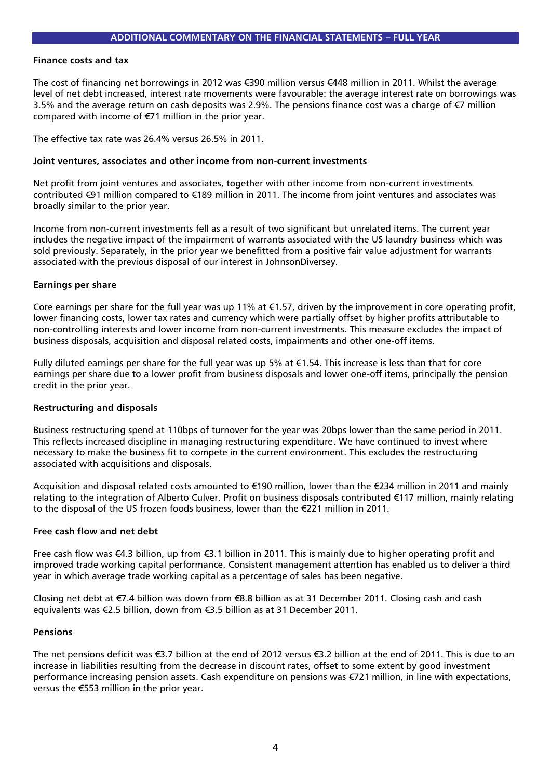#### **Finance costs and tax**

The cost of financing net borrowings in 2012 was €390 million versus €448 million in 2011. Whilst the average level of net debt increased, interest rate movements were favourable: the average interest rate on borrowings was 3.5% and the average return on cash deposits was 2.9%. The pensions finance cost was a charge of  $\epsilon$ 7 million compared with income of €71 million in the prior year.

The effective tax rate was 26.4% versus 26.5% in 2011.

#### **Joint ventures, associates and other income from non-current investments**

Net profit from joint ventures and associates, together with other income from non-current investments contributed €91 million compared to €189 million in 2011. The income from joint ventures and associates was broadly similar to the prior year.

Income from non-current investments fell as a result of two significant but unrelated items. The current year includes the negative impact of the impairment of warrants associated with the US laundry business which was sold previously. Separately, in the prior year we benefitted from a positive fair value adjustment for warrants associated with the previous disposal of our interest in JohnsonDiversey.

#### **Earnings per share**

Core earnings per share for the full year was up 11% at  $\epsilon$ 1.57, driven by the improvement in core operating profit, lower financing costs, lower tax rates and currency which were partially offset by higher profits attributable to non-controlling interests and lower income from non-current investments. This measure excludes the impact of business disposals, acquisition and disposal related costs, impairments and other one-off items.

Fully diluted earnings per share for the full year was up 5% at €1.54. This increase is less than that for core earnings per share due to a lower profit from business disposals and lower one-off items, principally the pension credit in the prior year.

#### **Restructuring and disposals**

Business restructuring spend at 110bps of turnover for the year was 20bps lower than the same period in 2011. This reflects increased discipline in managing restructuring expenditure. We have continued to invest where necessary to make the business fit to compete in the current environment. This excludes the restructuring associated with acquisitions and disposals.

Acquisition and disposal related costs amounted to €190 million, lower than the €234 million in 2011 and mainly relating to the integration of Alberto Culver. Profit on business disposals contributed €117 million, mainly relating to the disposal of the US frozen foods business, lower than the €221 million in 2011.

#### **Free cash flow and net debt**

Free cash flow was €4.3 billion, up from €3.1 billion in 2011. This is mainly due to higher operating profit and improved trade working capital performance. Consistent management attention has enabled us to deliver a third year in which average trade working capital as a percentage of sales has been negative.

Closing net debt at €7.4 billion was down from €8.8 billion as at 31 December 2011. Closing cash and cash equivalents was €2.5 billion, down from €3.5 billion as at 31 December 2011.

#### **Pensions**

The net pensions deficit was €3.7 billion at the end of 2012 versus €3.2 billion at the end of 2011. This is due to an increase in liabilities resulting from the decrease in discount rates, offset to some extent by good investment performance increasing pension assets. Cash expenditure on pensions was €721 million, in line with expectations, versus the €553 million in the prior year.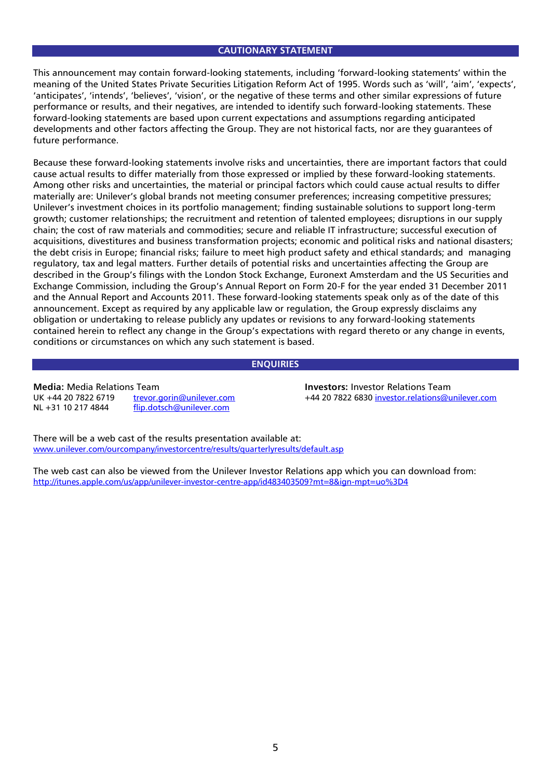#### **CAUTIONARY STATEMENT**

This announcement may contain forward-looking statements, including "forward-looking statements" within the meaning of the United States Private Securities Litigation Reform Act of 1995. Words such as "will", "aim", "expects", 'anticipates', 'intends', 'believes', 'vision', or the negative of these terms and other similar expressions of future performance or results, and their negatives, are intended to identify such forward-looking statements. These forward-looking statements are based upon current expectations and assumptions regarding anticipated developments and other factors affecting the Group. They are not historical facts, nor are they guarantees of future performance.

Because these forward-looking statements involve risks and uncertainties, there are important factors that could cause actual results to differ materially from those expressed or implied by these forward-looking statements. Among other risks and uncertainties, the material or principal factors which could cause actual results to differ materially are: Unilever"s global brands not meeting consumer preferences; increasing competitive pressures; Unilever"s investment choices in its portfolio management; finding sustainable solutions to support long-term growth; customer relationships; the recruitment and retention of talented employees; disruptions in our supply chain; the cost of raw materials and commodities; secure and reliable IT infrastructure; successful execution of acquisitions, divestitures and business transformation projects; economic and political risks and national disasters; the debt crisis in Europe; financial risks; failure to meet high product safety and ethical standards; and managing regulatory, tax and legal matters. Further details of potential risks and uncertainties affecting the Group are described in the Group"s filings with the London Stock Exchange, Euronext Amsterdam and the US Securities and Exchange Commission, including the Group"s Annual Report on Form 20-F for the year ended 31 December 2011 and the Annual Report and Accounts 2011. These forward-looking statements speak only as of the date of this announcement. Except as required by any applicable law or regulation, the Group expressly disclaims any obligation or undertaking to release publicly any updates or revisions to any forward-looking statements contained herein to reflect any change in the Group"s expectations with regard thereto or any change in events, conditions or circumstances on which any such statement is based.

#### **ENQUIRIES**

**Media:** Media Relations Team UK +44 20 7822 6719 [trevor.gorin@unilever.com](mailto:trevor.gorin@unilever.com) NL +31 10 217 4844 [flip.dotsch@unilever.com](mailto:fleur-van.bruggen@unilever.com)

**Investors:** Investor Relations Team +44 20 7822 6830 [investor.relations@unilever.com](mailto:investor.relations@unilever.com)

There will be a web cast of the results presentation available at: [www.unilever.com/ourcompany/investorcentre/results/quarterlyresults/default.asp](http://www.unilever.com/ourcompany/investorcentre/results/quarterlyresults/default.asp)

The web cast can also be viewed from the Unilever Investor Relations app which you can download from: http://itunes.apple.com/us/app/unilever-investor-centre-app/id483403509?mt=8&ign-mpt=uo%3D4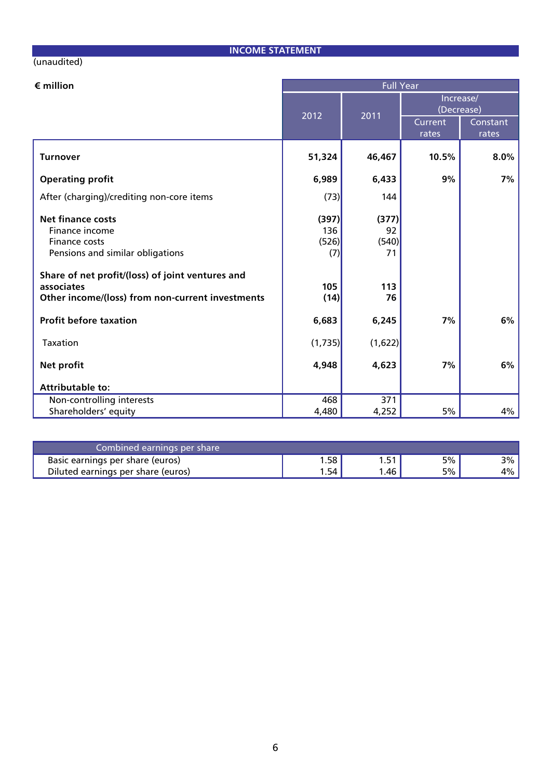# **INCOME STATEMENT**

| $\epsilon$ million                                                                                                 | <b>Full Year</b>             |                            |                         |          |
|--------------------------------------------------------------------------------------------------------------------|------------------------------|----------------------------|-------------------------|----------|
|                                                                                                                    |                              |                            | Increase/<br>(Decrease) |          |
|                                                                                                                    | 2012                         | 2011                       | Current                 | Constant |
|                                                                                                                    |                              |                            | rates                   | rates    |
| <b>Turnover</b>                                                                                                    | 51,324                       | 46,467                     | 10.5%                   | 8.0%     |
| <b>Operating profit</b>                                                                                            | 6,989                        | 6,433                      | 9%                      | 7%       |
| After (charging)/crediting non-core items                                                                          | (73)                         | 144                        |                         |          |
| <b>Net finance costs</b><br>Finance income<br>Finance costs<br>Pensions and similar obligations                    | (397)<br>136<br>(526)<br>(7) | (377)<br>92<br>(540)<br>71 |                         |          |
| Share of net profit/(loss) of joint ventures and<br>associates<br>Other income/(loss) from non-current investments | 105<br>(14)                  | 113<br>76                  |                         |          |
| <b>Profit before taxation</b>                                                                                      | 6,683                        | 6,245                      | 7%                      | 6%       |
| Taxation                                                                                                           | (1,735)                      | (1,622)                    |                         |          |
| Net profit                                                                                                         | 4,948                        | 4,623                      | 7%                      | 6%       |
| <b>Attributable to:</b>                                                                                            |                              |                            |                         |          |
| Non-controlling interests<br>Shareholders' equity                                                                  | 468<br>4,480                 | 371<br>4,252               | 5%                      | 4%       |

| Combined earnings per share        |      |      |    |    |
|------------------------------------|------|------|----|----|
| Basic earnings per share (euros)   | I.58 |      | 5% | 3% |
| Diluted earnings per share (euros) | l.54 | 1.46 | 5% | 4% |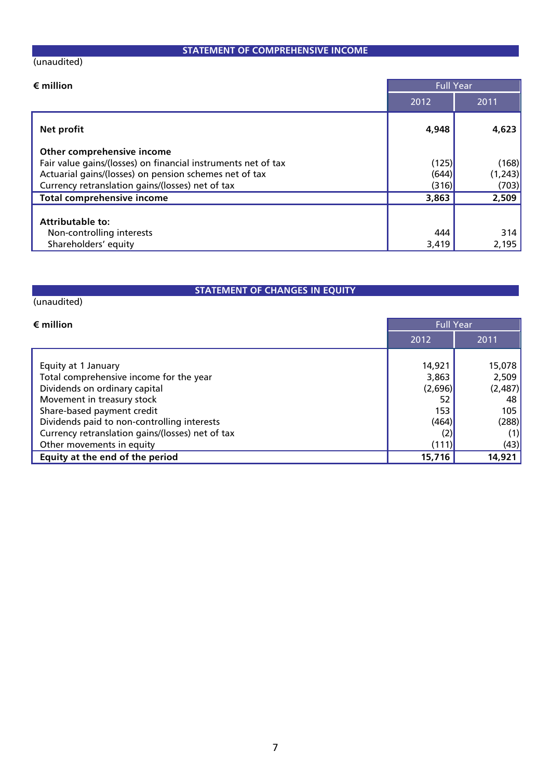# **STATEMENT OF COMPREHENSIVE INCOME**

## (unaudited)

| $\bm{\epsilon}$ million                                       | <b>Full Year</b> |          |  |  |
|---------------------------------------------------------------|------------------|----------|--|--|
|                                                               | 2012             | 2011     |  |  |
| Net profit                                                    | 4,948            | 4,623    |  |  |
| Other comprehensive income                                    |                  |          |  |  |
| Fair value gains/(losses) on financial instruments net of tax | (125)            | (168)    |  |  |
| Actuarial gains/(losses) on pension schemes net of tax        | (644)            | (1, 243) |  |  |
| Currency retranslation gains/(losses) net of tax              | (316)            | (703)    |  |  |
| Total comprehensive income                                    | 3,863            | 2,509    |  |  |
|                                                               |                  |          |  |  |
| <b>Attributable to:</b>                                       |                  |          |  |  |
| Non-controlling interests                                     | 444              | 314      |  |  |
| Shareholders' equity                                          | 3,419            | 2,195    |  |  |

# **STATEMENT OF CHANGES IN EQUITY**

| $\epsilon$ million                                             | <b>Full Year</b> |                 |  |  |
|----------------------------------------------------------------|------------------|-----------------|--|--|
|                                                                | 2012             | 2011            |  |  |
|                                                                |                  |                 |  |  |
| Equity at 1 January<br>Total comprehensive income for the year | 14,921<br>3,863  | 15,078<br>2,509 |  |  |
| Dividends on ordinary capital                                  | (2,696)          | (2,487)         |  |  |
| Movement in treasury stock                                     | 52               | 48              |  |  |
| Share-based payment credit                                     | 153              | 105             |  |  |
| Dividends paid to non-controlling interests                    | (464)            | (288)           |  |  |
| Currency retranslation gains/(losses) net of tax               | (2)              | (1)             |  |  |
|                                                                |                  |                 |  |  |
| Other movements in equity<br>Equity at the end of the period   | (111)<br>15,716  | (43)<br>14,921  |  |  |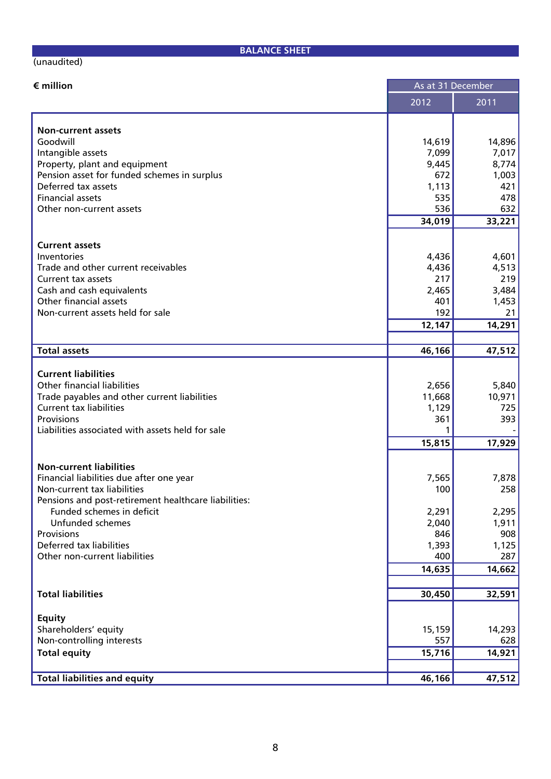## **BALANCE SHEET**

| $\epsilon$ million                                   | As at 31 December |        |
|------------------------------------------------------|-------------------|--------|
|                                                      | 2012              | 2011   |
| <b>Non-current assets</b>                            |                   |        |
| Goodwill                                             | 14,619            | 14,896 |
| Intangible assets                                    | 7,099             | 7,017  |
| Property, plant and equipment                        | 9,445             | 8,774  |
| Pension asset for funded schemes in surplus          | 672               | 1,003  |
| Deferred tax assets                                  | 1,113             | 421    |
| <b>Financial assets</b>                              | 535               | 478    |
| Other non-current assets                             | 536               | 632    |
|                                                      | 34,019            | 33,221 |
| <b>Current assets</b>                                |                   |        |
| Inventories                                          | 4,436             | 4,601  |
| Trade and other current receivables                  | 4,436             | 4,513  |
| <b>Current tax assets</b>                            | 217               | 219    |
| Cash and cash equivalents                            | 2,465             | 3,484  |
| Other financial assets                               | 401               | 1,453  |
| Non-current assets held for sale                     | 192               | 21     |
|                                                      | 12,147            | 14,291 |
| <b>Total assets</b>                                  | 46,166            | 47,512 |
| <b>Current liabilities</b>                           |                   |        |
| Other financial liabilities                          | 2,656             | 5,840  |
| Trade payables and other current liabilities         | 11,668            | 10,971 |
| <b>Current tax liabilities</b>                       | 1,129             | 725    |
| Provisions                                           | 361               | 393    |
| Liabilities associated with assets held for sale     |                   |        |
|                                                      | 15,815            | 17,929 |
| <b>Non-current liabilities</b>                       |                   |        |
| Financial liabilities due after one year             | 7,565             | 7,878  |
| Non-current tax liabilities                          | 100               | 258    |
| Pensions and post-retirement healthcare liabilities: |                   |        |
| Funded schemes in deficit                            | 2,291             | 2,295  |
| Unfunded schemes                                     | 2,040             | 1,911  |
| Provisions                                           | 846               | 908    |
| Deferred tax liabilities                             | 1,393             | 1,125  |
| Other non-current liabilities                        | 400               | 287    |
|                                                      | 14,635            | 14,662 |
| <b>Total liabilities</b>                             | 30,450            | 32,591 |
|                                                      |                   |        |
| <b>Equity</b>                                        |                   |        |
| Shareholders' equity                                 | 15,159            | 14,293 |
| Non-controlling interests                            | 557               | 628    |
| <b>Total equity</b>                                  | 15,716            | 14,921 |
| <b>Total liabilities and equity</b>                  | 46,166            | 47,512 |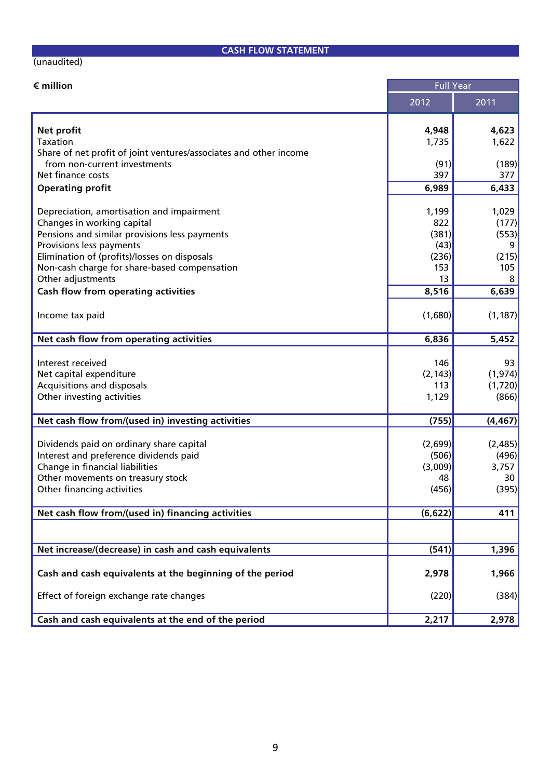## **CASH FLOW STATEMENT**

| $\epsilon$ million                                                | <b>Full Year</b> |              |
|-------------------------------------------------------------------|------------------|--------------|
|                                                                   | 2012             | 2011         |
| Net profit                                                        | 4,948            | 4,623        |
| Taxation                                                          | 1,735            | 1,622        |
| Share of net profit of joint ventures/associates and other income |                  |              |
| from non-current investments<br>Net finance costs                 | (91)<br>397      | (189)<br>377 |
|                                                                   |                  |              |
| <b>Operating profit</b>                                           | 6,989            | 6,433        |
| Depreciation, amortisation and impairment                         | 1,199            | 1,029        |
| Changes in working capital                                        | 822              | (177)        |
| Pensions and similar provisions less payments                     | (381)            | (553)        |
| Provisions less payments                                          | (43)             | 9            |
| Elimination of (profits)/losses on disposals                      | (236)            | (215)        |
| Non-cash charge for share-based compensation                      | 153              | 105          |
| Other adjustments                                                 | 13               | 8            |
| <b>Cash flow from operating activities</b>                        | 8,516            | 6,639        |
| Income tax paid                                                   | (1,680)          | (1, 187)     |
| Net cash flow from operating activities                           | 6,836            | 5,452        |
|                                                                   |                  |              |
| Interest received                                                 | 146              | 93           |
| Net capital expenditure                                           | (2, 143)         | (1, 974)     |
| Acquisitions and disposals                                        | 113              | (1,720)      |
| Other investing activities                                        | 1,129            | (866)        |
| Net cash flow from/(used in) investing activities                 | (755)            | (4, 467)     |
|                                                                   |                  |              |
| Dividends paid on ordinary share capital                          | (2,699)          | (2,485)      |
| Interest and preference dividends paid                            | (506)            | (496)        |
| Change in financial liabilities                                   | (3,009)          | 3,757        |
| Other movements on treasury stock                                 | 48               | 30           |
| Other financing activities                                        | (456)            | (395)        |
| Net cash flow from/(used in) financing activities                 | (6, 622)         | 411          |
|                                                                   |                  |              |
|                                                                   |                  |              |
| Net increase/(decrease) in cash and cash equivalents              | (541)            | 1,396        |
| Cash and cash equivalents at the beginning of the period          | 2,978            | 1,966        |
| Effect of foreign exchange rate changes                           | (220)            | (384)        |
| Cash and cash equivalents at the end of the period                | 2,217            | 2,978        |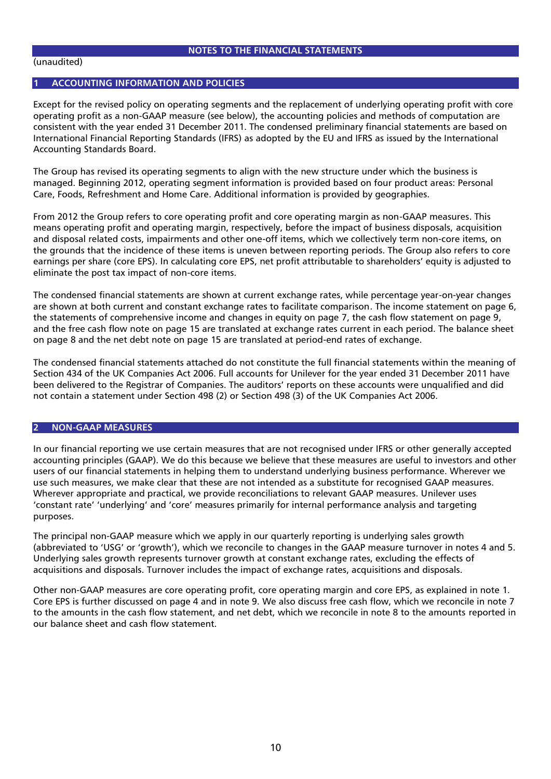#### **1 ACCOUNTING INFORMATION AND POLICIES**

Except for the revised policy on operating segments and the replacement of underlying operating profit with core operating profit as a non-GAAP measure (see below), the accounting policies and methods of computation are consistent with the year ended 31 December 2011. The condensed preliminary financial statements are based on International Financial Reporting Standards (IFRS) as adopted by the EU and IFRS as issued by the International Accounting Standards Board.

The Group has revised its operating segments to align with the new structure under which the business is managed. Beginning 2012, operating segment information is provided based on four product areas: Personal Care, Foods, Refreshment and Home Care. Additional information is provided by geographies.

From 2012 the Group refers to core operating profit and core operating margin as non-GAAP measures. This means operating profit and operating margin, respectively, before the impact of business disposals, acquisition and disposal related costs, impairments and other one-off items, which we collectively term non-core items, on the grounds that the incidence of these items is uneven between reporting periods. The Group also refers to core earnings per share (core EPS). In calculating core EPS, net profit attributable to shareholders" equity is adjusted to eliminate the post tax impact of non-core items.

The condensed financial statements are shown at current exchange rates, while percentage year-on-year changes are shown at both current and constant exchange rates to facilitate comparison. The income statement on page 6, the statements of comprehensive income and changes in equity on page 7, the cash flow statement on page 9, and the free cash flow note on page 15 are translated at exchange rates current in each period. The balance sheet on page 8 and the net debt note on page 15 are translated at period-end rates of exchange.

The condensed financial statements attached do not constitute the full financial statements within the meaning of Section 434 of the UK Companies Act 2006. Full accounts for Unilever for the year ended 31 December 2011 have been delivered to the Registrar of Companies. The auditors" reports on these accounts were unqualified and did not contain a statement under Section 498 (2) or Section 498 (3) of the UK Companies Act 2006.

#### **2 NON-GAAP MEASURES**

In our financial reporting we use certain measures that are not recognised under IFRS or other generally accepted accounting principles (GAAP). We do this because we believe that these measures are useful to investors and other users of our financial statements in helping them to understand underlying business performance. Wherever we use such measures, we make clear that these are not intended as a substitute for recognised GAAP measures. Wherever appropriate and practical, we provide reconciliations to relevant GAAP measures. Unilever uses "constant rate" "underlying" and "core" measures primarily for internal performance analysis and targeting purposes.

The principal non-GAAP measure which we apply in our quarterly reporting is underlying sales growth (abbreviated to "USG" or "growth"), which we reconcile to changes in the GAAP measure turnover in notes 4 and 5. Underlying sales growth represents turnover growth at constant exchange rates, excluding the effects of acquisitions and disposals. Turnover includes the impact of exchange rates, acquisitions and disposals.

Other non-GAAP measures are core operating profit, core operating margin and core EPS, as explained in note 1. Core EPS is further discussed on page 4 and in note 9. We also discuss free cash flow, which we reconcile in note 7 to the amounts in the cash flow statement, and net debt, which we reconcile in note 8 to the amounts reported in our balance sheet and cash flow statement.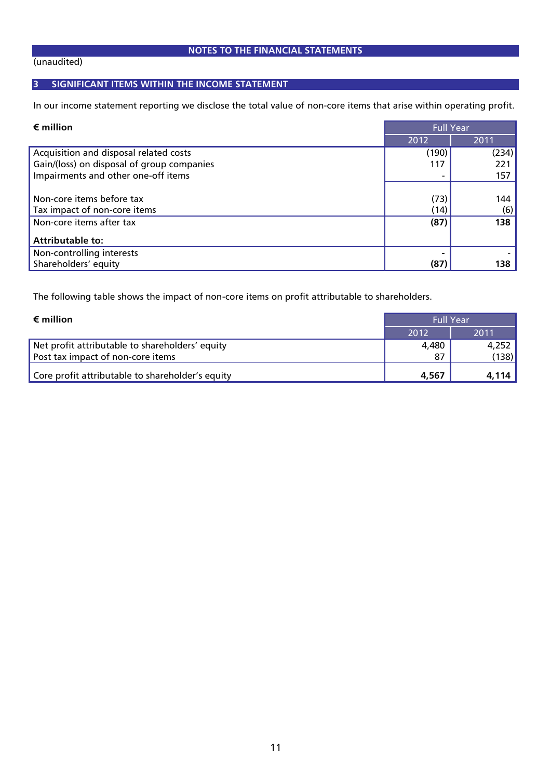### (unaudited)

## **3 SIGNIFICANT ITEMS WITHIN THE INCOME STATEMENT**

In our income statement reporting we disclose the total value of non-core items that arise within operating profit.

| $\epsilon$ million                         |       | <b>Full Year</b> |
|--------------------------------------------|-------|------------------|
|                                            | 2012  | 2011             |
| Acquisition and disposal related costs     | (190) | (234)            |
| Gain/(loss) on disposal of group companies | 117   | 221              |
| Impairments and other one-off items        |       | 157              |
|                                            |       |                  |
| Non-core items before tax                  | (73)  | 144              |
| Tax impact of non-core items               | (14)  | (6)              |
| Non-core items after tax                   | (87)  | 138              |
| <b>Attributable to:</b>                    |       |                  |
| Non-controlling interests                  |       |                  |
| Shareholders' equity                       | (87)  | 138              |

The following table shows the impact of non-core items on profit attributable to shareholders.

| $\epsilon$ million                               | <b>Full Year</b> |       |  |
|--------------------------------------------------|------------------|-------|--|
|                                                  | 2012             | 2011  |  |
| Net profit attributable to shareholders' equity  | 4,480            | 4,252 |  |
| Post tax impact of non-core items                | 87               | (138) |  |
| Core profit attributable to shareholder's equity | 4,567            | 4.114 |  |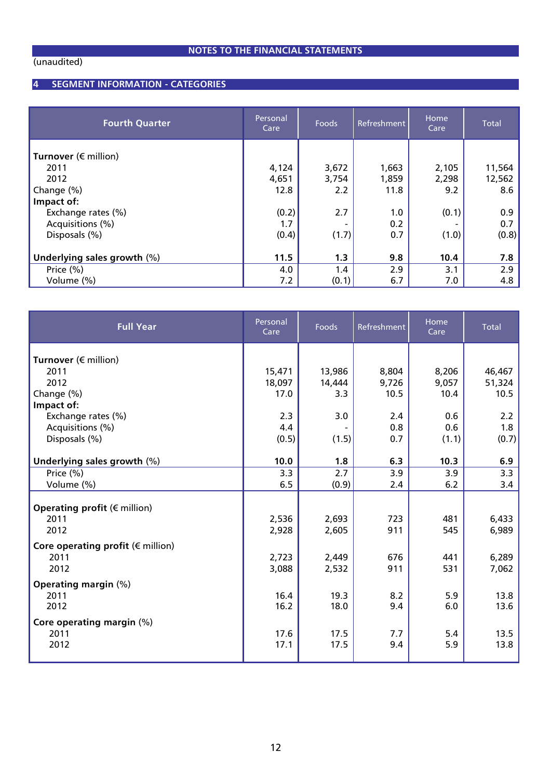# **4 SEGMENT INFORMATION - CATEGORIES**

| <b>Fourth Quarter</b>                                                                                                               | Personal<br>Care                                | <b>Foods</b>                          | Refreshment                                 | Home<br>Care                            | <b>Total</b>                                   |
|-------------------------------------------------------------------------------------------------------------------------------------|-------------------------------------------------|---------------------------------------|---------------------------------------------|-----------------------------------------|------------------------------------------------|
| Turnover ( $\notin$ million)<br>2011<br>2012<br>Change (%)<br>Impact of:<br>Exchange rates (%)<br>Acquisitions (%)<br>Disposals (%) | 4,124<br>4,651<br>12.8<br>(0.2)<br>1.7<br>(0.4) | 3,672<br>3,754<br>2.2<br>2.7<br>(1.7) | 1,663<br>1,859<br>11.8<br>1.0<br>0.2<br>0.7 | 2,105<br>2,298<br>9.2<br>(0.1)<br>(1.0) | 11,564<br>12,562<br>8.6<br>0.9<br>0.7<br>(0.8) |
| Underlying sales growth (%)                                                                                                         | 11.5                                            | 1.3                                   | 9.8                                         | 10.4                                    | 7.8                                            |
| Price (%)<br>Volume (%)                                                                                                             | 4.0<br>7.2                                      | 1.4<br>(0.1)                          | 2.9<br>6.7                                  | 3.1<br>7.0                              | 2.9<br>4.8                                     |

| <b>Full Year</b>                                   | Personal<br>Care | Foods  | Refreshment | <b>Home</b><br>Care | Total  |
|----------------------------------------------------|------------------|--------|-------------|---------------------|--------|
|                                                    |                  |        |             |                     |        |
| Turnover ( $\notin$ million)                       |                  |        |             |                     |        |
| 2011                                               | 15,471           | 13,986 | 8,804       | 8,206               | 46,467 |
| 2012                                               | 18,097           | 14,444 | 9,726       | 9,057               | 51,324 |
| Change (%)                                         | 17.0             | 3.3    | 10.5        | 10.4                | 10.5   |
| Impact of:                                         |                  |        |             |                     |        |
| Exchange rates (%)                                 | 2.3              | 3.0    | 2.4         | 0.6                 | 2.2    |
| Acquisitions (%)                                   | 4.4              |        | 0.8         | 0.6                 | 1.8    |
| Disposals (%)                                      | (0.5)            | (1.5)  | 0.7         | (1.1)               | (0.7)  |
|                                                    |                  |        |             |                     |        |
| Underlying sales growth (%)                        | 10.0             | 1.8    | 6.3         | 10.3                | 6.9    |
| Price (%)                                          | 3.3              | 2.7    | 3.9         | 3.9                 | 3.3    |
| Volume (%)                                         | 6.5              | (0.9)  | 2.4         | 6.2                 | 3.4    |
|                                                    |                  |        |             |                     |        |
| <b>Operating profit (€ million)</b>                |                  |        |             |                     |        |
| 2011                                               | 2,536            | 2,693  | 723         | 481                 | 6,433  |
| 2012                                               | 2,928            | 2,605  | 911         | 545                 | 6,989  |
|                                                    |                  |        |             |                     |        |
| Core operating profit $(\epsilon \text{ million})$ |                  |        |             |                     |        |
| 2011                                               | 2,723            | 2,449  | 676         | 441                 | 6,289  |
| 2012                                               | 3,088            | 2,532  | 911         | 531                 | 7,062  |
| <b>Operating margin (%)</b>                        |                  |        |             |                     |        |
| 2011                                               | 16.4             | 19.3   | 8.2         | 5.9                 | 13.8   |
| 2012                                               | 16.2             | 18.0   | 9.4         | 6.0                 | 13.6   |
|                                                    |                  |        |             |                     |        |
| Core operating margin (%)                          |                  |        |             |                     |        |
| 2011                                               | 17.6             | 17.5   | 7.7         | 5.4                 | 13.5   |
| 2012                                               | 17.1             | 17.5   | 9.4         | 5.9                 | 13.8   |
|                                                    |                  |        |             |                     |        |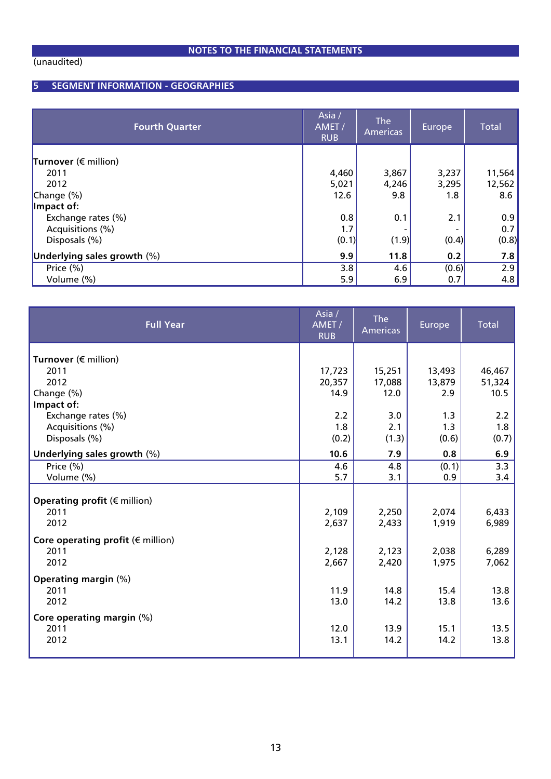## **5 SEGMENT INFORMATION - GEOGRAPHIES**

| <b>Fourth Quarter</b>        | Asia /<br>AMET/<br><b>RUB</b> | <b>The</b><br><b>Americas</b> | Europe | <b>Total</b> |
|------------------------------|-------------------------------|-------------------------------|--------|--------------|
| Turnover ( $\notin$ million) |                               |                               |        |              |
| 2011                         | 4,460                         | 3,867                         | 3,237  | 11,564       |
| 2012                         | 5,021                         | 4,246                         | 3,295  | 12,562       |
| Change (%)                   | 12.6                          | 9.8                           | 1.8    | 8.6          |
| Impact of:                   |                               |                               |        |              |
| Exchange rates (%)           | 0.8                           | 0.1                           | 2.1    | 0.9          |
| Acquisitions (%)             | 1.7                           |                               |        | 0.7          |
| Disposals (%)                | (0.1)                         | (1.9)                         | (0.4)  | (0.8)        |
| Underlying sales growth (%)  | 9.9                           | 11.8                          | 0.2    | 7.8          |
| Price (%)                    | 3.8                           | 4.6                           | (0.6)  | 2.9          |
| Volume (%)                   | 5.9                           | 6.9                           | 0.7    | 4.8          |

| <b>Full Year</b>                                     | Asia /<br>AMET /<br><b>RUB</b> | <b>The</b><br><b>Americas</b> | Europe         | <b>Total</b>   |
|------------------------------------------------------|--------------------------------|-------------------------------|----------------|----------------|
|                                                      |                                |                               |                |                |
| Turnover ( $\notin$ million)<br>2011                 | 17,723                         | 15,251                        | 13,493         | 46,467         |
| 2012                                                 | 20,357                         | 17,088                        | 13,879         | 51,324         |
| Change (%)                                           | 14.9                           | 12.0                          | 2.9            | 10.5           |
| Impact of:                                           |                                |                               |                |                |
| Exchange rates (%)                                   | 2.2                            | 3.0                           | 1.3            | 2.2            |
| Acquisitions (%)                                     | 1.8                            | 2.1                           | 1.3            | 1.8            |
| Disposals (%)                                        | (0.2)                          | (1.3)                         | (0.6)          | (0.7)          |
| Underlying sales growth (%)                          | 10.6                           | 7.9                           | 0.8            | 6.9            |
| Price (%)                                            | 4.6                            | 4.8                           | (0.1)          | 3.3            |
| Volume (%)                                           | 5.7                            | 3.1                           | 0.9            | 3.4            |
| Operating profit ( $\notin$ million)<br>2011<br>2012 | 2,109<br>2,637                 | 2,250<br>2,433                | 2,074<br>1,919 | 6,433<br>6,989 |
| Core operating profit $(\epsilon \text{ million})$   |                                |                               |                |                |
| 2011                                                 | 2,128                          | 2,123                         | 2,038          | 6,289          |
| 2012                                                 | 2,667                          | 2,420                         | 1,975          | 7,062          |
| <b>Operating margin (%)</b>                          |                                |                               |                |                |
| 2011                                                 | 11.9                           | 14.8                          | 15.4           | 13.8           |
| 2012                                                 | 13.0                           | 14.2                          | 13.8           | 13.6           |
| Core operating margin (%)                            |                                |                               |                |                |
| 2011                                                 | 12.0                           | 13.9                          | 15.1           | 13.5           |
| 2012                                                 | 13.1                           | 14.2                          | 14.2           | 13.8           |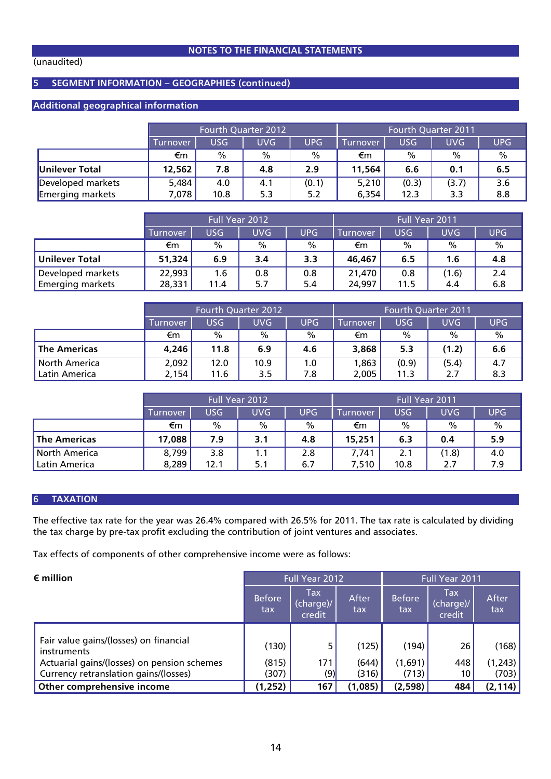#### (unaudited)

## **5 SEGMENT INFORMATION – GEOGRAPHIES (continued)**

#### **Additional geographical information**

|                         | Fourth Quarter 2012 |      |      |            | Fourth Quarter 2011 |       |       |            |
|-------------------------|---------------------|------|------|------------|---------------------|-------|-------|------------|
|                         | Turnover            | USG  | UVG. | <b>UPG</b> | Turnover            | USG   | UVG   | <b>UPG</b> |
|                         | €m                  | %    | %    | $\%$       | €m                  | $\%$  | %     | %          |
| Unilever Total          | 12,562              | 7.8  | 4.8  | 2.9        | 11,564              | 6.6   | 0.1   | 6.5        |
| Developed markets       | 5,484               | 4.0  | 4.1  | (0.1)      | 5,210               | (0.3) | (3.7) | 3.6        |
| <b>Emerging markets</b> | 7,078               | 10.8 | 5.3  | 5.2        | 6,354               | 12.3  | 3.3   | 8.8        |

|                       | Full Year 2012 |      |      | Full Year 2011 |          |            |       |            |
|-----------------------|----------------|------|------|----------------|----------|------------|-------|------------|
|                       | Turnover       | USG. | UVG. | <b>UPG</b>     | Turnover | <b>USG</b> | UVG.  | <b>UPG</b> |
|                       | €m             | $\%$ | $\%$ | %              | €m       | $\%$       | %     | $\%$       |
| <b>Unilever Total</b> | 51,324         | 6.9  | 3.4  | 3.3            | 46,467   | 6.5        | 1.6   | 4.8        |
| Developed markets     | 22,993         | 1.6  | 0.8  | 0.8            | 21,470   | 0.8        | (1.6) | 2.4        |
| Emerging markets      | 28,331         | 11.4 | 5.7  | 5.4            | 24,997   | 11.5       | 4.4   | 6.8        |

|                     | <b>Fourth Quarter 2012</b> |      |      |     | <b>Fourth Quarter 2011</b> |            |            |            |
|---------------------|----------------------------|------|------|-----|----------------------------|------------|------------|------------|
|                     | Turnover                   | USG. | UVG. | UPG | Turnover                   | <b>USG</b> | <b>UVG</b> | <b>UPG</b> |
|                     | €m                         | %    | $\%$ | %   | €m                         | $\%$       | %          | $\%$       |
| <b>The Americas</b> | 4,246                      | 11.8 | 6.9  | 4.6 | 3,868                      | 5.3        | (1.2)      | 6.6        |
| North America       | 2,092                      | 12.0 | 10.9 | 1.0 | 1,863                      | (0.9)      | (5.4)      | 4.7        |
| Latin America       | 2,154                      | 11.6 | 3.5  | 7.8 | 2,005                      | 11.3       | 2.7        | 8.3        |

|               | Full Year 2012 |      |            | Full Year 2011 |          |            |            |            |
|---------------|----------------|------|------------|----------------|----------|------------|------------|------------|
|               | Turnover       | USG. | <b>UVG</b> | <b>UPG</b>     | Turnover | <b>USG</b> | <b>UVG</b> | <b>UPG</b> |
|               | €m             | %    | %          | %              | €m       | $\%$       | %          | $\%$       |
| The Americas  | 17,088         | 7.9  | 3.1        | 4.8            | 15,251   | 6.3        | 0.4        | 5.9        |
| North America | 8,799          | 3.8  | 1.1        | 2.8            | 7.741    | 2.1        | (1.8)      | 4.0        |
| Latin America | 8,289          | 12.1 | 5.1        | 6.7            | 7,510    | 10.8       | 2.7        | 7.9        |

## **6 TAXATION**

The effective tax rate for the year was 26.4% compared with 26.5% for 2011. The tax rate is calculated by dividing the tax charge by pre-tax profit excluding the contribution of joint ventures and associates.

Tax effects of components of other comprehensive income were as follows:

| $\epsilon$ million                                                                                                                            | Full Year 2012          |                             |                         | Full Year 2011            |                           |                            |
|-----------------------------------------------------------------------------------------------------------------------------------------------|-------------------------|-----------------------------|-------------------------|---------------------------|---------------------------|----------------------------|
|                                                                                                                                               | <b>Before</b><br>tax    | Tax:<br>(charge)/<br>credit | After<br>tax            | <b>Before</b><br>tax      | Tax<br>(charge)<br>credit | After<br>tax               |
| Fair value gains/(losses) on financial<br>instruments<br>Actuarial gains/(losses) on pension schemes<br>Currency retranslation gains/(losses) | (130)<br>(815)<br>(307) | 171<br>(9)                  | (125)<br>(644)<br>(316) | (194)<br>(1,691)<br>(713) | 26<br>448<br>10           | (168)<br>(1, 243)<br>(703) |
| Other comprehensive income                                                                                                                    | (1, 252)                | 167                         | (1,085)                 | (2, 598)                  | 484                       | (2, 114)                   |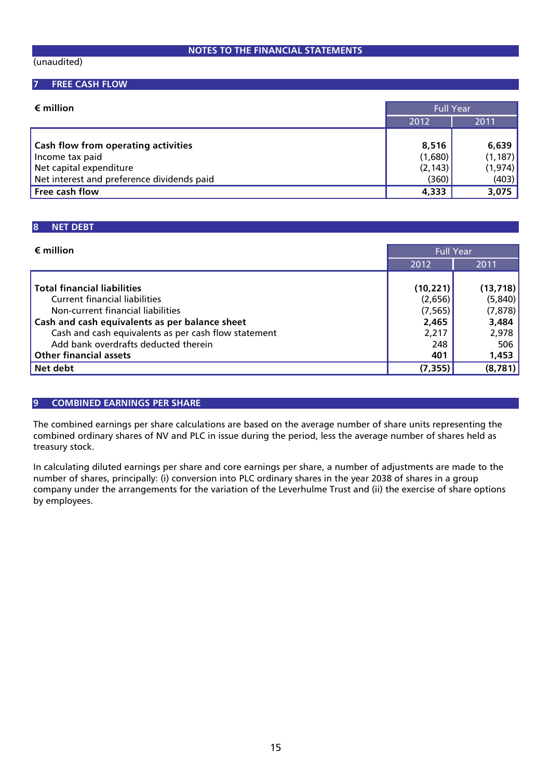#### (unaudited)

#### **7 FREE CASH FLOW**

| $\epsilon$ million                         | <b>Full Year</b> |          |
|--------------------------------------------|------------------|----------|
|                                            | 2012             | 2011     |
|                                            |                  |          |
| <b>Cash flow from operating activities</b> | 8,516            | 6,639    |
| Income tax paid                            | (1,680)          | (1, 187) |
| Net capital expenditure                    | (2, 143)         | (1, 974) |
| Net interest and preference dividends paid | (360)            | (403)    |
| Free cash flow                             | 4,333            | 3,075    |

#### **8 NET DEBT**

| $\epsilon$ million                                   |           | <b>Full Year</b> |
|------------------------------------------------------|-----------|------------------|
|                                                      | 2012      | 2011             |
|                                                      |           |                  |
| <b>Total financial liabilities</b>                   | (10, 221) | (13, 718)        |
| <b>Current financial liabilities</b>                 | (2,656)   | (5, 840)         |
| Non-current financial liabilities                    | (7, 565)  | (7, 878)         |
| Cash and cash equivalents as per balance sheet       | 2,465     | 3,484            |
| Cash and cash equivalents as per cash flow statement | 2,217     | 2,978            |
| Add bank overdrafts deducted therein                 | 248       | 506              |
| <b>Other financial assets</b>                        | 401       | 1,453            |
| Net debt                                             | (7, 355)  | (8, 781)         |

#### **9 COMBINED EARNINGS PER SHARE**

The combined earnings per share calculations are based on the average number of share units representing the combined ordinary shares of NV and PLC in issue during the period, less the average number of shares held as treasury stock.

In calculating diluted earnings per share and core earnings per share, a number of adjustments are made to the number of shares, principally: (i) conversion into PLC ordinary shares in the year 2038 of shares in a group company under the arrangements for the variation of the Leverhulme Trust and (ii) the exercise of share options by employees.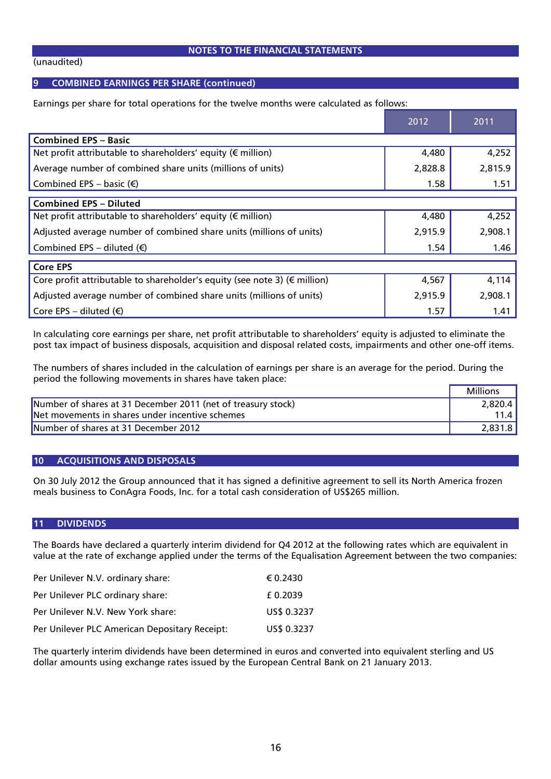#### (unaudited)

#### **9 COMBINED EARNINGS PER SHARE (continued)**

Earnings per share for total operations for the twelve months were calculated as follows:

|                                                                                     | 2012    | 2011    |
|-------------------------------------------------------------------------------------|---------|---------|
| <b>Combined EPS - Basic</b>                                                         |         |         |
| Net profit attributable to shareholders' equity (€ million)                         | 4,480   | 4,252   |
| Average number of combined share units (millions of units)                          | 2,828.8 | 2,815.9 |
| Combined EPS – basic $(\epsilon)$                                                   | 1.58    | 1.51    |
| <b>Combined EPS - Diluted</b>                                                       |         |         |
| Net profit attributable to shareholders' equity ( $\notin$ million)                 | 4,480   | 4,252   |
| Adjusted average number of combined share units (millions of units)                 | 2,915.9 | 2,908.1 |
| Combined EPS – diluted $($ )                                                        | 1.54    | 1.46    |
| <b>Core EPS</b>                                                                     |         |         |
| Core profit attributable to shareholder's equity (see note 3) ( $\epsilon$ million) | 4,567   | 4,114   |
| Adjusted average number of combined share units (millions of units)                 | 2,915.9 | 2,908.1 |
| Core EPS – diluted $($ )                                                            | 1.57    | 1.41    |

In calculating core earnings per share, net profit attributable to shareholders" equity is adjusted to eliminate the post tax impact of business disposals, acquisition and disposal related costs, impairments and other one-off items.

The numbers of shares included in the calculation of earnings per share is an average for the period. During the period the following movements in shares have taken place:

|                                                              | <b>Millions</b> |
|--------------------------------------------------------------|-----------------|
| Number of shares at 31 December 2011 (net of treasury stock) | 2.820.4         |
| Net movements in shares under incentive schemes              | 11.4            |
| Number of shares at 31 December 2012                         | 2.831.8         |

#### **10 ACQUISITIONS AND DISPOSALS**

On 30 July 2012 the Group announced that it has signed a definitive agreement to sell its North America frozen meals business to ConAgra Foods, Inc. for a total cash consideration of US\$265 million.

#### **11 DIVIDENDS**

The Boards have declared a quarterly interim dividend for Q4 2012 at the following rates which are equivalent in value at the rate of exchange applied under the terms of the Equalisation Agreement between the two companies:

| Per Unilever N.V. ordinary share:             | € 0.2430    |
|-----------------------------------------------|-------------|
| Per Unilever PLC ordinary share:              | £0.2039     |
| Per Unilever N.V. New York share:             | US\$ 0.3237 |
| Per Unilever PLC American Depositary Receipt: | US\$ 0.3237 |

The quarterly interim dividends have been determined in euros and converted into equivalent sterling and US dollar amounts using exchange rates issued by the European Central Bank on 21 January 2013.